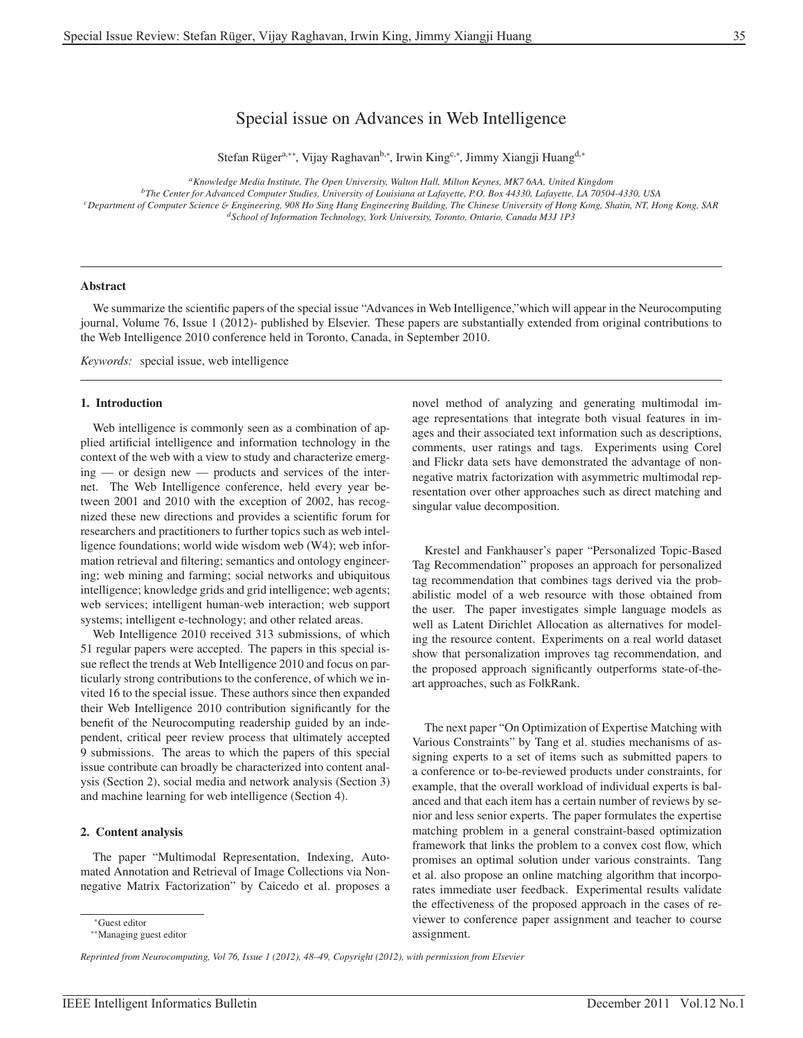# Special issue on Advances in Web Intelligence

Stefan Rüger<sup>a,∗∗</sup>, Vijay Raghavan<sup>b,∗</sup>, Irwin King<sup>c,∗</sup>, Jimmy Xiangji Huang<sup>d,</sup>\*

*aKnowledge Media Institute, The Open University, Walton Hall, Milton Keynes, MK7 6AA, United Kingdom*

*bThe Center for Advanced Computer Studies, University of Louisiana at Lafayette, P.O. Box 44330, Lafayette, LA 70504-4330, USA cDepartment of Computer Science* & *Engineering, 908 Ho Sing Hang Engineering Building, The Chinese University of Hong Kong, Shatin, NT, Hong Kong, SAR*

*dSchool of Information Technology, York University, Toronto, Ontario, Canada M3J 1P3*

### Abstract

We summarize the scientific papers of the special issue "Advances in Web Intelligence,"which will appear in the Neurocomputing journal, Volume 76, Issue 1 (2012)- published by Elsevier. These papers are substantially extended from original contributions to the Web Intelligence 2010 conference held in Toronto, Canada, in September 2010.

*Keywords:* special issue, web intelligence

# 1. Introduction

Web intelligence is commonly seen as a combination of applied artificial intelligence and information technology in the context of the web with a view to study and characterize emerging — or design new — products and services of the internet. The Web Intelligence conference, held every year between 2001 and 2010 with the exception of 2002, has recognized these new directions and provides a scientific forum for researchers and practitioners to further topics such as web intelligence foundations; world wide wisdom web (W4); web information retrieval and filtering; semantics and ontology engineering; web mining and farming; social networks and ubiquitous intelligence; knowledge grids and grid intelligence; web agents; web services; intelligent human-web interaction; web support systems; intelligent e-technology; and other related areas.

Web Intelligence 2010 received 313 submissions, of which 51 regular papers were accepted. The papers in this special issue reflect the trends at Web Intelligence 2010 and focus on particularly strong contributions to the conference, of which we invited 16 to the special issue. These authors since then expanded their Web Intelligence 2010 contribution significantly for the benefit of the Neurocomputing readership guided by an independent, critical peer review process that ultimately accepted 9 submissions. The areas to which the papers of this special issue contribute can broadly be characterized into content analysis (Section 2), social media and network analysis (Section 3) and machine learning for web intelligence (Section 4).

#### 2. Content analysis

The paper "Multimodal Representation, Indexing, Automated Annotation and Retrieval of Image Collections via Nonnegative Matrix Factorization" by Caicedo et al. proposes a

*Reprinted from Neurocomputing, Vol 76, Issue 1 (2012), 48–49, Copyright (2012), with permission from Elsevier*

novel method of analyzing and generating multimodal image representations that integrate both visual features in images and their associated text information such as descriptions, comments, user ratings and tags. Experiments using Corel and Flickr data sets have demonstrated the advantage of nonnegative matrix factorization with asymmetric multimodal representation over other approaches such as direct matching and singular value decomposition.

Krestel and Fankhauser's paper "Personalized Topic-Based Tag Recommendation" proposes an approach for personalized tag recommendation that combines tags derived via the probabilistic model of a web resource with those obtained from the user. The paper investigates simple language models as well as Latent Dirichlet Allocation as alternatives for modeling the resource content. Experiments on a real world dataset show that personalization improves tag recommendation, and the proposed approach significantly outperforms state-of-theart approaches, such as FolkRank.

The next paper "On Optimization of Expertise Matching with Various Constraints" by Tang et al. studies mechanisms of assigning experts to a set of items such as submitted papers to a conference or to-be-reviewed products under constraints, for example, that the overall workload of individual experts is balanced and that each item has a certain number of reviews by senior and less senior experts. The paper formulates the expertise matching problem in a general constraint-based optimization framework that links the problem to a convex cost flow, which promises an optimal solution under various constraints. Tang et al. also propose an online matching algorithm that incorporates immediate user feedback. Experimental results validate the effectiveness of the proposed approach in the cases of reviewer to conference paper assignment and teacher to course assignment.

<sup>∗</sup>Guest editor

<sup>∗∗</sup>Managing guest editor